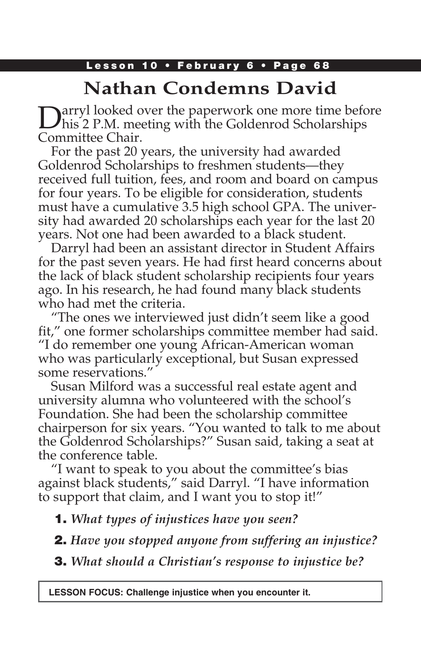### Lesson 10 • February 6 • Page 68

# **Nathan Condemns David**

Darryl looked over the paperwork one more time before<br>his 2 P.M. meeting with the Goldenrod Scholarships Committee Chair.

For the past 20 years, the university had awarded Goldenrod Scholarships to freshmen students—they received full tuition, fees, and room and board on campus for four years. To be eligible for consideration, students must have a cumulative 3.5 high school GPA. The university had awarded 20 scholarships each year for the last 20 years. Not one had been awarded to a black student.

Darryl had been an assistant director in Student Affairs for the past seven years. He had first heard concerns about the lack of black student scholarship recipients four years ago. In his research, he had found many black students who had met the criteria.

"The ones we interviewed just didn't seem like a good fit," one former scholarships committee member had said. "I do remember one young African-American woman who was particularly exceptional, but Susan expressed some reservations."

Susan Milford was a successful real estate agent and university alumna who volunteered with the school's Foundation. She had been the scholarship committee chairperson for six years. "You wanted to talk to me about the Goldenrod Scholarships?" Susan said, taking a seat at the conference table.

"I want to speak to you about the committee's bias against black students," said Darryl. "I have information to support that claim, and I want you to stop it!"

1. *What types of injustices have you seen?*

2. *Have you stopped anyone from suffering an injustice?*

3. *What should a Christian's response to injustice be?*

**LESSON FOCUS: Challenge injustice when you encounter it.**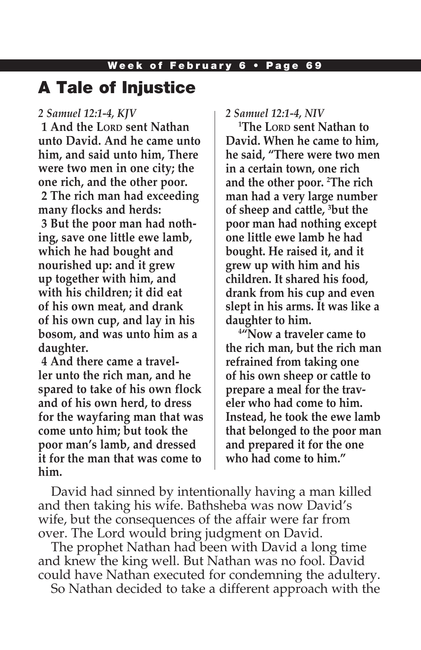## A Tale of Injustice

#### *2 Samuel 12:1-4, KJV*

**1 And the LORD sent Nathan unto David. And he came unto him, and said unto him, There were two men in one city; the one rich, and the other poor. 2 The rich man had exceeding many flocks and herds: 3 But the poor man had nothing, save one little ewe lamb, which he had bought and nourished up: and it grew up together with him, and with his children; it did eat of his own meat, and drank of his own cup, and lay in his bosom, and was unto him as a daughter.**

**4 And there came a traveller unto the rich man, and he spared to take of his own flock and of his own herd, to dress for the wayfaring man that was come unto him; but took the poor man's lamb, and dressed it for the man that was come to him.**

*2 Samuel 12:1-4, NIV* 

**1 The Lord sent Nathan to David. When he came to him, he said, "There were two men in a certain town, one rich and the other poor. 2 The rich man had a very large number of sheep and cattle, 3 but the poor man had nothing except one little ewe lamb he had bought. He raised it, and it grew up with him and his children. It shared his food, drank from his cup and even slept in his arms. It was like a daughter to him.**

**4 "Now a traveler came to the rich man, but the rich man refrained from taking one of his own sheep or cattle to prepare a meal for the traveler who had come to him. Instead, he took the ewe lamb that belonged to the poor man and prepared it for the one who had come to him."**

David had sinned by intentionally having a man killed and then taking his wife. Bathsheba was now David's wife, but the consequences of the affair were far from over. The Lord would bring judgment on David.

The prophet Nathan had been with David a long time and knew the king well. But Nathan was no fool. David could have Nathan executed for condemning the adultery.

So Nathan decided to take a different approach with the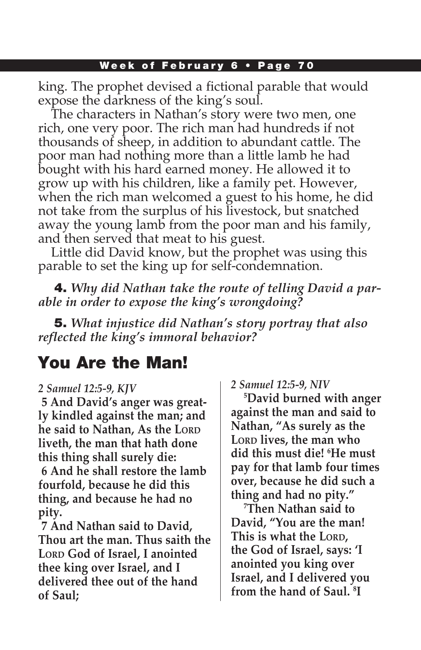#### Week of February 6 • Page 70

king. The prophet devised a fictional parable that would expose the darkness of the king's soul.

The characters in Nathan's story were two men, one rich, one very poor. The rich man had hundreds if not thousands of sheep, in addition to abundant cattle. The poor man had nothing more than a little lamb he had bought with his hard earned money. He allowed it to grow up with his children, like a family pet. However, when the rich man welcomed a guest to his home, he did not take from the surplus of his livestock, but snatched away the young lamb from the poor man and his family, and then served that meat to his guest.

Little did David know, but the prophet was using this parable to set the king up for self-condemnation.

4. *Why did Nathan take the route of telling David a parable in order to expose the king's wrongdoing?* 

5. *What injustice did Nathan's story portray that also reflected the king's immoral behavior?* 

# You Are the Man!

#### *2 Samuel 12:5-9, KJV*

**5 And David's anger was greatly kindled against the man; and he said to Nathan, As the LORD liveth, the man that hath done this thing shall surely die: 6 And he shall restore the lamb fourfold, because he did this thing, and because he had no pity.**

**7 And Nathan said to David, Thou art the man. Thus saith the**  LORD God of Israel, I anointed **thee king over Israel, and I delivered thee out of the hand of Saul;**

*2 Samuel 12:5-9, NIV* 

**5 David burned with anger against the man and said to Nathan, "As surely as the**  LORD lives, the man who **did this must die! 6 He must pay for that lamb four times over, because he did such a thing and had no pity."**

**7 Then Nathan said to David, "You are the man!**  This is what the LORD, **the God of Israel, says: 'I anointed you king over Israel, and I delivered you from the hand of Saul. 8 I**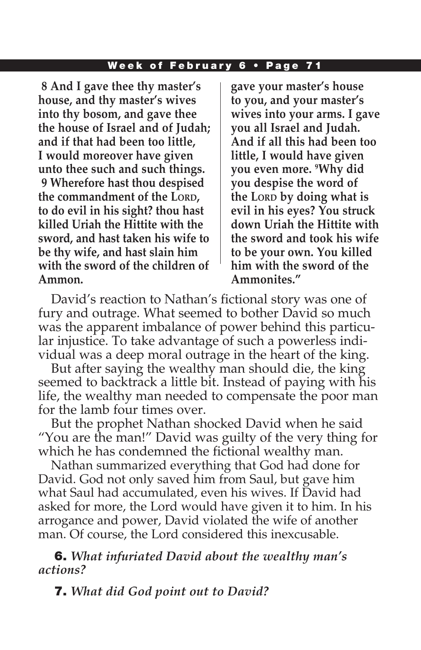#### Week of February 6 • Page 71

**8 And I gave thee thy master's house, and thy master's wives into thy bosom, and gave thee the house of Israel and of Judah; and if that had been too little, I would moreover have given unto thee such and such things. 9 Wherefore hast thou despised the commandment of the LORD, to do evil in his sight? thou hast killed Uriah the Hittite with the sword, and hast taken his wife to be thy wife, and hast slain him with the sword of the children of Ammon.**

**gave your master's house to you, and your master's wives into your arms. I gave you all Israel and Judah. And if all this had been too little, I would have given you even more. 9 Why did you despise the word of the LORD by doing what is evil in his eyes? You struck down Uriah the Hittite with the sword and took his wife to be your own. You killed him with the sword of the Ammonites."**

David's reaction to Nathan's fictional story was one of fury and outrage. What seemed to bother David so much was the apparent imbalance of power behind this particular injustice. To take advantage of such a powerless individual was a deep moral outrage in the heart of the king.

But after saying the wealthy man should die, the king seemed to backtrack a little bit. Instead of paying with his life, the wealthy man needed to compensate the poor man for the lamb four times over.

But the prophet Nathan shocked David when he said "You are the man!" David was guilty of the very thing for which he has condemned the fictional wealthy man.

Nathan summarized everything that God had done for David. God not only saved him from Saul, but gave him what Saul had accumulated, even his wives. If David had asked for more, the Lord would have given it to him. In his arrogance and power, David violated the wife of another man. Of course, the Lord considered this inexcusable.

6. *What infuriated David about the wealthy man's actions?* 

7. *What did God point out to David?*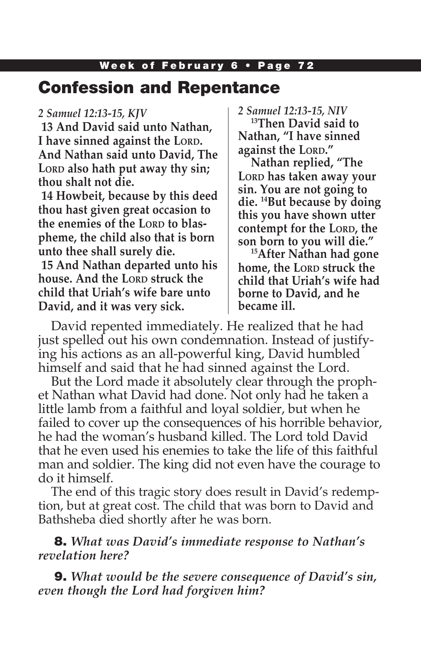#### Week of February 6 • Page 72

### Confession and Repentance

#### *2 Samuel 12:13-15, KJV*

**13 And David said unto Nathan, I** have sinned against the LORD. **And Nathan said unto David, The**  LORD also hath put away thy sin; **thou shalt not die.**

**14 Howbeit, because by this deed thou hast given great occasion to the enemies of the LORD to blaspheme, the child also that is born unto thee shall surely die.**

**15 And Nathan departed unto his house.** And the LORD struck the **child that Uriah's wife bare unto David, and it was very sick.**

#### *2 Samuel 12:13-15, NIV*

**13Then David said to Nathan, "I have sinned against the LORD."** 

**Nathan replied, "The**  LORD has taken away your **sin. You are not going to die. 14But because by doing this you have shown utter contempt for the LORD, the son born to you will die."**

**15After Nathan had gone home, the Lorp struck the child that Uriah's wife had borne to David, and he became ill.**

David repented immediately. He realized that he had just spelled out his own condemnation. Instead of justifying his actions as an all-powerful king, David humbled himself and said that he had sinned against the Lord.

But the Lord made it absolutely clear through the prophet Nathan what David had done. Not only had he taken a little lamb from a faithful and loyal soldier, but when he failed to cover up the consequences of his horrible behavior, he had the woman's husband killed. The Lord told David that he even used his enemies to take the life of this faithful man and soldier. The king did not even have the courage to do it himself.

The end of this tragic story does result in David's redemption, but at great cost. The child that was born to David and Bathsheba died shortly after he was born.

8. *What was David's immediate response to Nathan's revelation here?* 

9. *What would be the severe consequence of David's sin, even though the Lord had forgiven him?*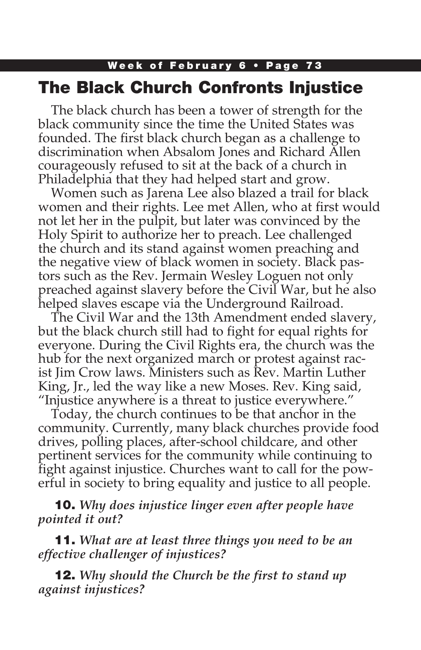### Week of February 6 • Page 73 The Black Church Confronts Injustice

The black church has been a tower of strength for the black community since the time the United States was founded. The first black church began as a challenge to discrimination when Absalom Jones and Richard Allen courageously refused to sit at the back of a church in Philadelphia that they had helped start and grow.

Women such as Jarena Lee also blazed a trail for black women and their rights. Lee met Allen, who at first would not let her in the pulpit, but later was convinced by the Holy Spirit to authorize her to preach. Lee challenged the church and its stand against women preaching and the negative view of black women in society. Black pastors such as the Rev. Jermain Wesley Loguen not only preached against slavery before the Civil War, but he also helped slaves escape via the Underground Railroad.

The Civil War and the 13th Amendment ended slavery, but the black church still had to fight for equal rights for everyone. During the Civil Rights era, the church was the hub for the next organized march or protest against racist Jim Crow laws. Ministers such as Rev. Martin Luther King, Jr., led the way like a new Moses. Rev. King said, "Injustice anywhere is a threat to justice everywhere."

Today, the church continues to be that anchor in the community. Currently, many black churches provide food drives, polling places, after-school childcare, and other pertinent services for the community while continuing to fight against injustice. Churches want to call for the powerful in society to bring equality and justice to all people.

10. *Why does injustice linger even after people have pointed it out?*

11. *What are at least three things you need to be an effective challenger of injustices?*

12. *Why should the Church be the first to stand up against injustices?*